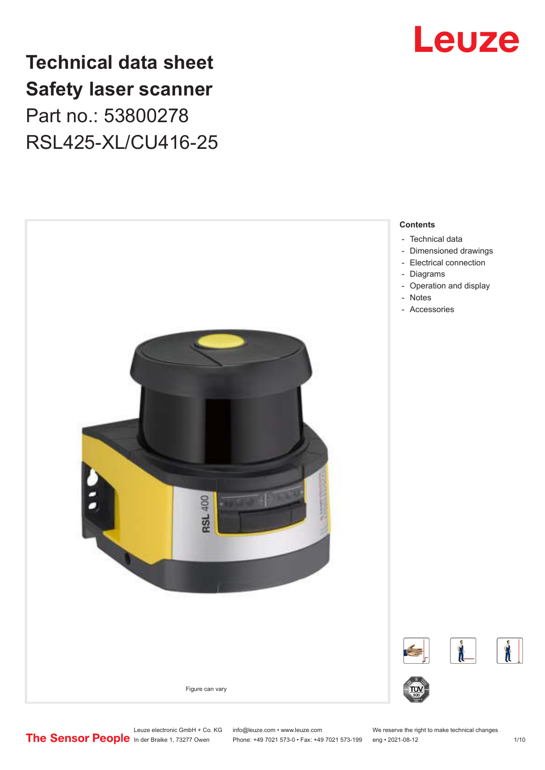

## **Technical data sheet Safety laser scanner** Part no.: 53800278 RSL425-XL/CU416-25



Leuze electronic GmbH + Co. KG info@leuze.com • www.leuze.com We reserve the right to make technical changes<br>
The Sensor People in der Braike 1, 73277 Owen Phone: +49 7021 573-0 • Fax: +49 7021 573-199 eng • 2021-08-12 Phone: +49 7021 573-0 • Fax: +49 7021 573-199 eng • 2021-08-12 1 /10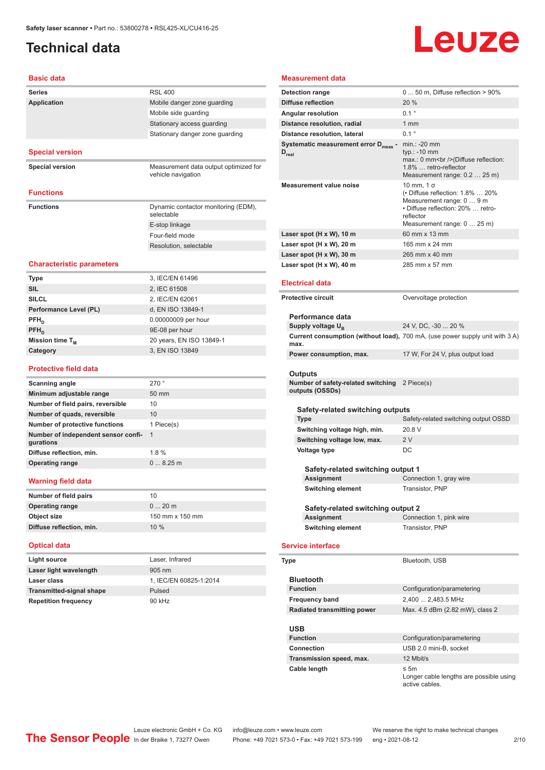## <span id="page-1-0"></span>**Technical data**

# Leuze

### **Basic data**

| <b>Basic data</b>                                |                                                             | <b>Mea</b>                        |
|--------------------------------------------------|-------------------------------------------------------------|-----------------------------------|
| Series                                           | <b>RSL 400</b>                                              | <b>Deter</b>                      |
| <b>Application</b>                               | Mobile danger zone guarding                                 | <b>Diffu</b>                      |
|                                                  | Mobile side guarding                                        | Angu                              |
|                                                  | Stationary access quarding                                  | Dista                             |
|                                                  | Stationary danger zone guarding                             | Dista                             |
| <b>Special version</b>                           |                                                             | <b>Syste</b><br>$D_{\text{real}}$ |
| <b>Special version</b>                           | Measurement data output optimized for<br>vehicle navigation |                                   |
| <b>Functions</b>                                 |                                                             | Meas                              |
| <b>Functions</b>                                 | Dynamic contactor monitoring (EDM),<br>selectable           |                                   |
|                                                  | E-stop linkage                                              |                                   |
|                                                  | Four-field mode                                             | Lase                              |
|                                                  | Resolution, selectable                                      | Lase                              |
|                                                  |                                                             | Lase                              |
| <b>Characteristic parameters</b>                 |                                                             | Lase                              |
| Type                                             | 3, IEC/EN 61496                                             |                                   |
| <b>SIL</b>                                       | 2, IEC 61508                                                | Elec                              |
| <b>SILCL</b>                                     | 2, IEC/EN 62061                                             | Prote                             |
| Performance Level (PL)                           | d, EN ISO 13849-1                                           |                                   |
| $\mathsf{PFH}_{\mathsf{n}}$                      | 0.00000009 per hour                                         | Pε                                |
| PFH <sub>D</sub>                                 | 9E-08 per hour                                              | Su                                |
| Mission time T <sub>M</sub>                      | 20 years, EN ISO 13849-1                                    | Cυ<br>m                           |
| Category                                         | 3, EN ISO 13849                                             | Po                                |
| <b>Protective field data</b>                     |                                                             | Οι                                |
| <b>Scanning angle</b>                            | 270°                                                        | Nυ                                |
| Minimum adjustable range                         | 50 mm                                                       | ou                                |
| Number of field pairs, reversible                | 10                                                          |                                   |
| Number of quads, reversible                      | 10                                                          |                                   |
| <b>Number of protective functions</b>            | 1 Piece(s)                                                  |                                   |
| Number of independent sensor confi-<br>gurations | $\mathbf{1}$                                                |                                   |
| Diffuse reflection, min.                         | 1.8%                                                        |                                   |
| <b>Operating range</b>                           | 08.25m                                                      |                                   |
| Warning field data                               |                                                             |                                   |
| Number of field pairs                            | 10                                                          |                                   |
| <b>Operating range</b>                           | $020$ m                                                     |                                   |
| Object size                                      | 150 mm x 150 mm                                             |                                   |
| Diffuse reflection, min.                         | 10 %                                                        |                                   |
| <b>Optical data</b>                              |                                                             | Serv                              |
| <b>Light source</b>                              | Laser, Infrared                                             |                                   |
| Laser light wavelength                           | 905 nm                                                      | <b>Type</b>                       |
| Laser class                                      | 1, IEC/EN 60825-1:2014                                      | в١                                |
| <b>Transmitted-signal shape</b>                  | Pulsed                                                      | Fu                                |
| <b>Repetition frequency</b>                      | 90 kHz                                                      | F۳                                |
|                                                  |                                                             |                                   |

#### **Measurement data**

| Measurement data                                                                 |                                                                                                                                                                   |  |
|----------------------------------------------------------------------------------|-------------------------------------------------------------------------------------------------------------------------------------------------------------------|--|
| <b>Detection range</b>                                                           | $050$ m, Diffuse reflection $>90\%$                                                                                                                               |  |
| Diffuse reflection                                                               | 20 %                                                                                                                                                              |  |
| <b>Angular resolution</b>                                                        | $0.1$ $^{\circ}$                                                                                                                                                  |  |
| Distance resolution, radial                                                      | 1 mm                                                                                                                                                              |  |
| Distance resolution, lateral                                                     | $0.1$ <sup><math>\circ</math></sup>                                                                                                                               |  |
| Systematic measurement error D <sub>meas</sub> -<br>$\mathsf{D}_{\mathsf{real}}$ | $min.: -20$ mm<br>$typ.: -10$ mm<br>max.: 0 mm<br>> (Diffuse reflection:<br>1.8%  retro-reflector<br>Measurement range: 0.2  25 m)                                |  |
| <b>Measurement value noise</b>                                                   | 10 mm, 1 σ<br>$\cdot$ Diffuse reflection: 1.8%  20%<br>Measurement range: 0  9 m<br>• Diffuse reflection: 20%  retro-<br>reflector<br>Measurement range: 0  25 m) |  |
| Laser spot (H x W), 10 m                                                         | 60 mm x 13 mm                                                                                                                                                     |  |
| Laser spot (H x W), 20 m                                                         | 165 mm x 24 mm                                                                                                                                                    |  |
| Laser spot (H x W), 30 m                                                         | 265 mm x 40 mm                                                                                                                                                    |  |
| Laser spot (H x W), 40 m                                                         | 285 mm x 57 mm                                                                                                                                                    |  |
| Electrical data                                                                  |                                                                                                                                                                   |  |
| <b>Protective circuit</b>                                                        | Overvoltage protection                                                                                                                                            |  |
|                                                                                  |                                                                                                                                                                   |  |
| Performance data                                                                 |                                                                                                                                                                   |  |
| Supply voltage U <sub>B</sub>                                                    | 24 V, DC, -30  20 %                                                                                                                                               |  |
| max.                                                                             | Current consumption (without load), 700 mA, (use power supply unit with 3 A)                                                                                      |  |
| Power consumption, max.                                                          | 17 W, For 24 V, plus output load                                                                                                                                  |  |
|                                                                                  |                                                                                                                                                                   |  |
| Outputs                                                                          |                                                                                                                                                                   |  |
| Number of safety-related switching 2 Piece(s)<br>outputs (OSSDs)                 |                                                                                                                                                                   |  |
|                                                                                  |                                                                                                                                                                   |  |
| Safety-related switching outputs                                                 |                                                                                                                                                                   |  |
| Type                                                                             | Safety-related switching output OSSD                                                                                                                              |  |
| Switching voltage high, min.                                                     | 20.8 V                                                                                                                                                            |  |
| Switching voltage low, max.                                                      | 2V                                                                                                                                                                |  |
| Voltage type                                                                     | DC                                                                                                                                                                |  |
| Safety-related switching output 1                                                |                                                                                                                                                                   |  |
| Assignment                                                                       | Connection 1, gray wire                                                                                                                                           |  |
| Switching element                                                                | Transistor, PNP                                                                                                                                                   |  |
|                                                                                  |                                                                                                                                                                   |  |
| Safety-related switching output 2                                                |                                                                                                                                                                   |  |
| Assignment                                                                       | Connection 1, pink wire                                                                                                                                           |  |
| <b>Switching element</b>                                                         | Transistor, PNP                                                                                                                                                   |  |
|                                                                                  |                                                                                                                                                                   |  |
| <b>Service interface</b>                                                         |                                                                                                                                                                   |  |
| Type                                                                             | Bluetooth, USB                                                                                                                                                    |  |
| <b>Bluetooth</b>                                                                 |                                                                                                                                                                   |  |
| <b>Function</b>                                                                  | Configuration/parametering                                                                                                                                        |  |
| <b>Frequency band</b>                                                            | 2,400  2,483.5 MHz                                                                                                                                                |  |
| <b>Radiated transmitting power</b>                                               | Max. 4.5 dBm (2.82 mW), class 2                                                                                                                                   |  |
|                                                                                  |                                                                                                                                                                   |  |

### **USB**

| ---                      |                                                                        |
|--------------------------|------------------------------------------------------------------------|
| <b>Function</b>          | Configuration/parametering                                             |
| Connection               | USB 2.0 mini-B, socket                                                 |
| Transmission speed, max. | 12 Mbit/s                                                              |
| Cable length             | $\leq$ 5m<br>Longer cable lengths are possible using<br>active cables. |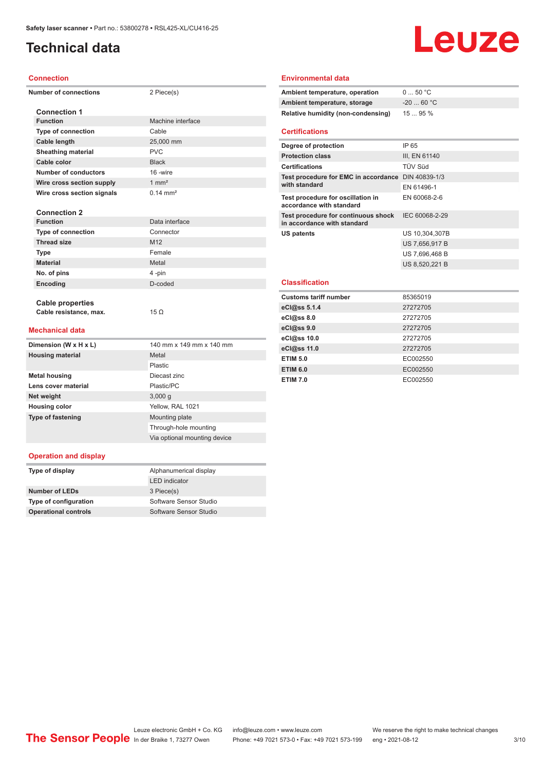## **Technical data**

## Leuze

#### **Connection**

| Number of connection |  |  |
|----------------------|--|--|

#### **Number of connections** 2 Piece(s)

| <b>Connection 1</b>         |                       |
|-----------------------------|-----------------------|
| <b>Function</b>             | Machine interface     |
| Type of connection          | Cable                 |
| Cable length                | 25,000 mm             |
| <b>Sheathing material</b>   | PVC                   |
| Cable color                 | <b>Black</b>          |
| <b>Number of conductors</b> | 16 -wire              |
| Wire cross section supply   | $1 \text{ mm}^2$      |
| Wire cross section signals  | $0.14 \, \text{mm}^2$ |
|                             |                       |
| <b>Connection 2</b>         |                       |
| <b>Function</b>             | Data interface        |
| <b>Type of connection</b>   | Connector             |
| <b>Thread size</b>          | M <sub>12</sub>       |
| <b>Type</b>                 | Female                |
| <b>Material</b>             | Metal                 |
| No. of pins                 | 4-pin                 |
| Encoding                    | D-coded               |
|                             |                       |

#### **Environmental data**

| Ambient temperature, operation     | 050 °C      |
|------------------------------------|-------------|
| Ambient temperature, storage       | $-20$ 60 °C |
| Relative humidity (non-condensing) | 1595%       |

#### **Certifications**

| Degree of protection                                               | IP 65          |
|--------------------------------------------------------------------|----------------|
| <b>Protection class</b>                                            | III, EN 61140  |
| <b>Certifications</b>                                              | <b>TÜV Süd</b> |
| Test procedure for EMC in accordance DIN 40839-1/3                 |                |
| with standard                                                      | FN 61496-1     |
| Test procedure for oscillation in<br>accordance with standard      | EN 60068-2-6   |
| Test procedure for continuous shock<br>in accordance with standard | IEC 60068-2-29 |
| US patents                                                         | US 10,304,307B |
|                                                                    | US 7,656,917 B |
|                                                                    | US 7,696,468 B |
|                                                                    | US 8,520,221 B |
| <b>Classification</b>                                              |                |
| <b>Customs tariff number</b>                                       | 85365019       |
| eCl@ss 5.1.4                                                       | 27272705       |
| eCl@ss 8.0                                                         | 27272705       |
| eCl@ss 9.0                                                         | 27272705       |
| eCl@ss 10.0                                                        | 27272705       |
| eCl@ss 11.0                                                        | 27272705       |
| <b>ETIM 5.0</b>                                                    | EC002550       |

**ETIM 6.0** EC002550 **ETIM 7.0** EC002550

#### **Mechanical data**

**Cable properties**

**Cable resistance, max.** 15 Ω

| Dimension (W x H x L)    | 140 mm x 149 mm x 140 mm     |
|--------------------------|------------------------------|
| <b>Housing material</b>  | Metal                        |
|                          | Plastic                      |
| <b>Metal housing</b>     | Diecast zinc                 |
| Lens cover material      | Plastic/PC                   |
| Net weight               | 3,000q                       |
| <b>Housing color</b>     | Yellow, RAL 1021             |
| <b>Type of fastening</b> | Mounting plate               |
|                          | Through-hole mounting        |
|                          | Via optional mounting device |

#### **Operation and display**

| Type of display             | Alphanumerical display |
|-----------------------------|------------------------|
|                             | <b>LED</b> indicator   |
| Number of LEDs              | 3 Piece(s)             |
| Type of configuration       | Software Sensor Studio |
| <b>Operational controls</b> | Software Sensor Studio |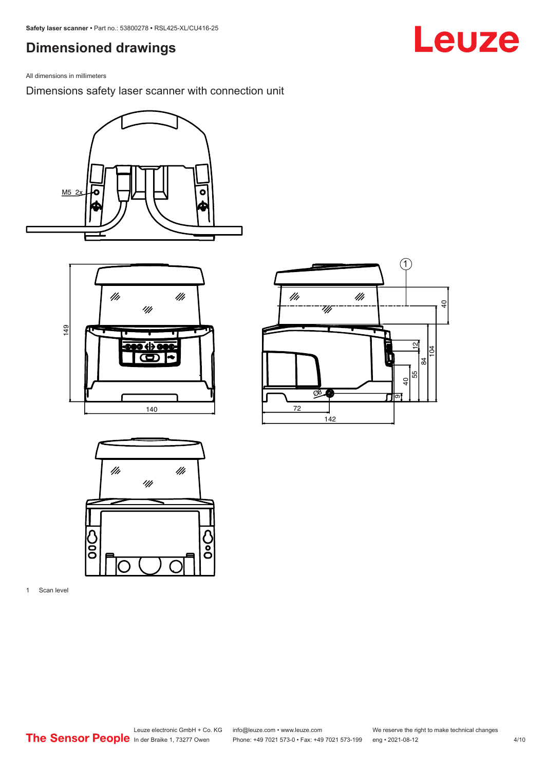## <span id="page-3-0"></span>**Dimensioned drawings**

All dimensions in millimeters

Dimensions safety laser scanner with connection unit









1 Scan level

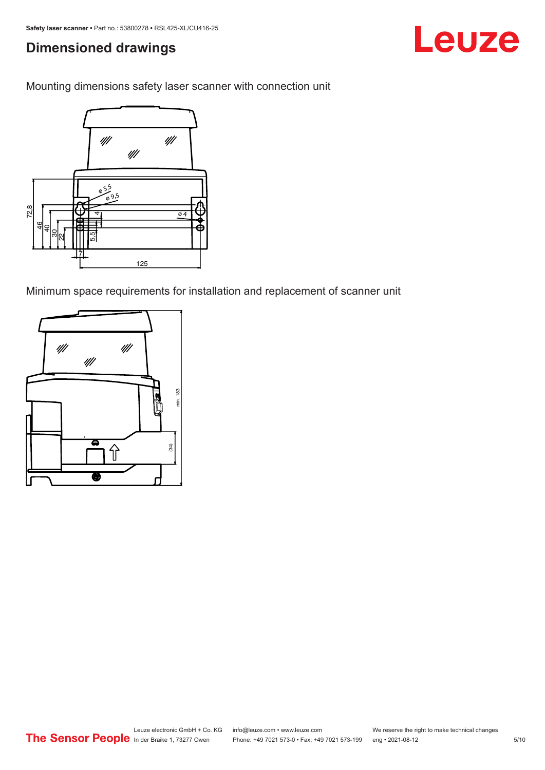## **Dimensioned drawings**

Mounting dimensions safety laser scanner with connection unit



Minimum space requirements for installation and replacement of scanner unit



Leuze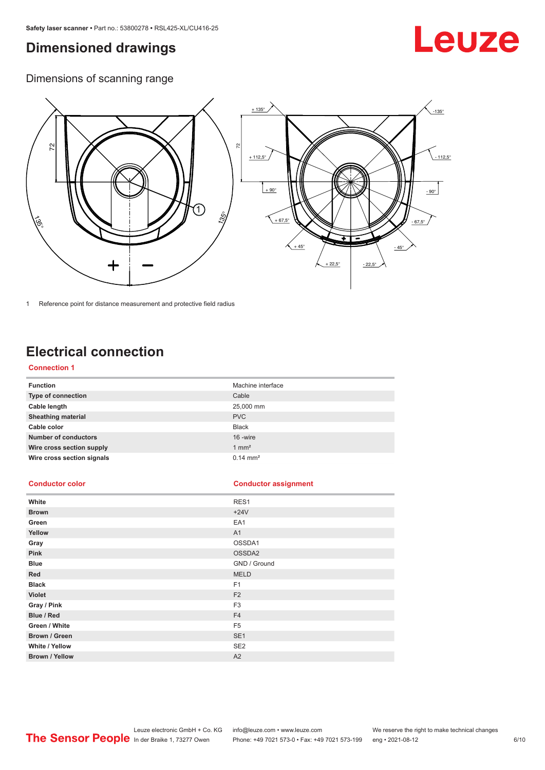## <span id="page-5-0"></span>**Dimensioned drawings**

## Leuze

Dimensions of scanning range



1 Reference point for distance measurement and protective field radius

## **Electrical connection**

#### **Connection 1**

| <b>Function</b>             | Machine interface   |
|-----------------------------|---------------------|
| Type of connection          | Cable               |
| Cable length                | 25,000 mm           |
| <b>Sheathing material</b>   | <b>PVC</b>          |
| Cable color                 | <b>Black</b>        |
| <b>Number of conductors</b> | 16 -wire            |
| Wire cross section supply   | $1 \text{ mm}^2$    |
| Wire cross section signals  | $0.14 \text{ mm}^2$ |

#### **Conductor color Conductor assignment**

| White                 | RES1            |
|-----------------------|-----------------|
| <b>Brown</b>          | $+24V$          |
| Green                 | EA1             |
| Yellow                | A1              |
| Gray                  | OSSDA1          |
| Pink                  | OSSDA2          |
| <b>Blue</b>           | GND / Ground    |
| Red                   | <b>MELD</b>     |
| <b>Black</b>          | F <sub>1</sub>  |
| Violet                | F <sub>2</sub>  |
| Gray / Pink           | F <sub>3</sub>  |
| Blue / Red            | F <sub>4</sub>  |
| Green / White         | F <sub>5</sub>  |
| Brown / Green         | SE <sub>1</sub> |
| White / Yellow        | SE <sub>2</sub> |
| <b>Brown / Yellow</b> | A2              |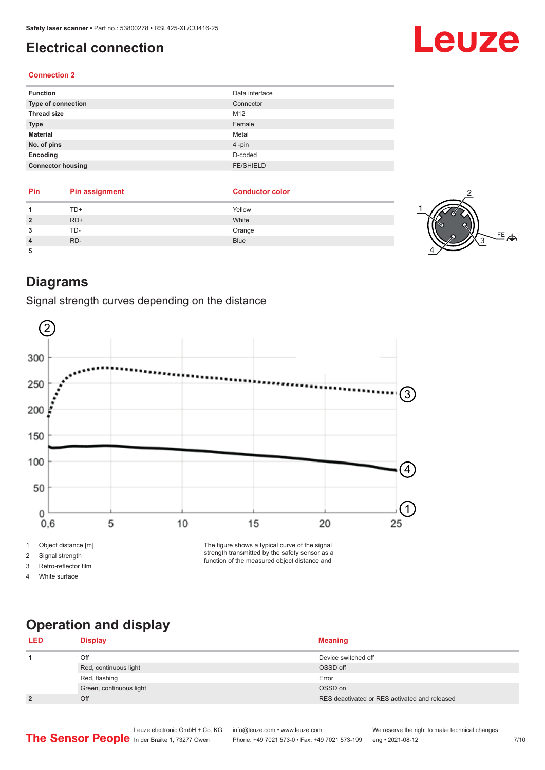## <span id="page-6-0"></span>**Electrical connection**

#### **Connection 2**

| Data interface   |
|------------------|
| Connector        |
| M12              |
| Female           |
| Metal            |
| 4-pin            |
| D-coded          |
| <b>FE/SHIELD</b> |
|                  |

| Pin | <b>Pin assignment</b> | <b>Conductor color</b> |  |
|-----|-----------------------|------------------------|--|
|     | TD+                   | Yellow                 |  |
|     | $RD+$                 | White                  |  |
|     | TD-                   | Orange                 |  |
|     | RD-                   | <b>Blue</b>            |  |
|     |                       |                        |  |

### **Diagrams**

Signal strength curves depending on the distance



2 Signal strength

3 Retro-reflector film

4 White surface

strength transmitted by the safety sensor as a function of the measured object distance and

## **Operation and display**

#### **LED Display Meaning 1** Off Device switched off **Device** switched off **Device** switched off **Device** switched of Red, continuous light **COSSD** off **COSS** Red, flashing Error Contract Contract Contract Contract Contract Contract Contract Contract Contract Contract Contract Contract Contract Contract Contract Contract Contract Contract Contract Contract Contract Contract Cont Green, continuous light OSSD on **2 2** Off **COLLEGE 2** Off **COLLEGE 2** Off **COLLEGE 2** Off **RES** deactivated or RES activated and released



Leuze electronic GmbH + Co. KG info@leuze.com • www.leuze.com We reserve the right to make technical changes<br>
The Sensor People in der Braike 1, 73277 Owen Phone: +49 7021 573-0 • Fax: +49 7021 573-199 eng • 2021-08-12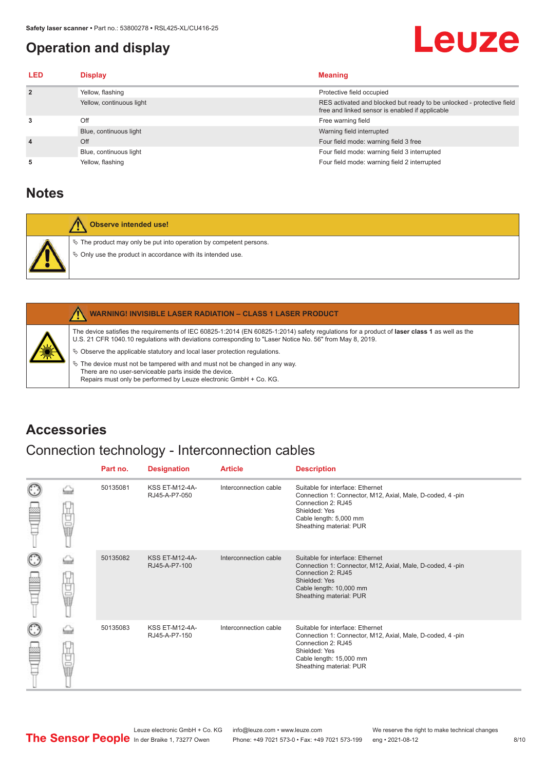## <span id="page-7-0"></span>**Operation and display**

## Leuze

| <b>LED</b>     | <b>Display</b>           | <b>Meaning</b>                                                                                                           |
|----------------|--------------------------|--------------------------------------------------------------------------------------------------------------------------|
| $\overline{2}$ | Yellow, flashing         | Protective field occupied                                                                                                |
|                | Yellow, continuous light | RES activated and blocked but ready to be unlocked - protective field<br>free and linked sensor is enabled if applicable |
| 3              | Off                      | Free warning field                                                                                                       |
|                | Blue, continuous light   | Warning field interrupted                                                                                                |
| $\overline{4}$ | Off                      | Four field mode: warning field 3 free                                                                                    |
|                | Blue, continuous light   | Four field mode: warning field 3 interrupted                                                                             |
| 5              | Yellow, flashing         | Four field mode: warning field 2 interrupted                                                                             |

## **Notes**

| Observe intended use!                                                                                                                   |
|-----------------------------------------------------------------------------------------------------------------------------------------|
| $\%$ The product may only be put into operation by competent persons.<br>$\&$ Only use the product in accordance with its intended use. |

|    | <b>WARNING! INVISIBLE LASER RADIATION - CLASS 1 LASER PRODUCT</b>                                                                                                                                                                                        |
|----|----------------------------------------------------------------------------------------------------------------------------------------------------------------------------------------------------------------------------------------------------------|
| 美洲 | The device satisfies the requirements of IEC 60825-1:2014 (EN 60825-1:2014) safety regulations for a product of laser class 1 as well as the<br>U.S. 21 CFR 1040.10 regulations with deviations corresponding to "Laser Notice No. 56" from May 8, 2019. |
|    | $\&$ Observe the applicable statutory and local laser protection requisitions.                                                                                                                                                                           |
|    | $\%$ The device must not be tampered with and must not be changed in any way.<br>There are no user-serviceable parts inside the device.<br>Repairs must only be performed by Leuze electronic GmbH + Co. KG.                                             |

## **Accessories**

## Connection technology - Interconnection cables

|   |            | Part no. | <b>Designation</b>                     | <b>Article</b>        | <b>Description</b>                                                                                                                                                                         |
|---|------------|----------|----------------------------------------|-----------------------|--------------------------------------------------------------------------------------------------------------------------------------------------------------------------------------------|
|   | 甘国語        | 50135081 | <b>KSS ET-M12-4A-</b><br>RJ45-A-P7-050 | Interconnection cable | Suitable for interface: Ethernet<br>Connection 1: Connector, M12, Axial, Male, D-coded, 4-pin<br>Connection 2: RJ45<br>Shielded: Yes<br>Cable length: 5,000 mm<br>Sheathing material: PUR  |
| C | Ö          | 50135082 | <b>KSS ET-M12-4A-</b><br>RJ45-A-P7-100 | Interconnection cable | Suitable for interface: Ethernet<br>Connection 1: Connector, M12, Axial, Male, D-coded, 4-pin<br>Connection 2: RJ45<br>Shielded: Yes<br>Cable length: 10,000 mm<br>Sheathing material: PUR |
| C | U<br>U U U | 50135083 | <b>KSS ET-M12-4A-</b><br>RJ45-A-P7-150 | Interconnection cable | Suitable for interface: Ethernet<br>Connection 1: Connector, M12, Axial, Male, D-coded, 4-pin<br>Connection 2: RJ45<br>Shielded: Yes<br>Cable length: 15,000 mm<br>Sheathing material: PUR |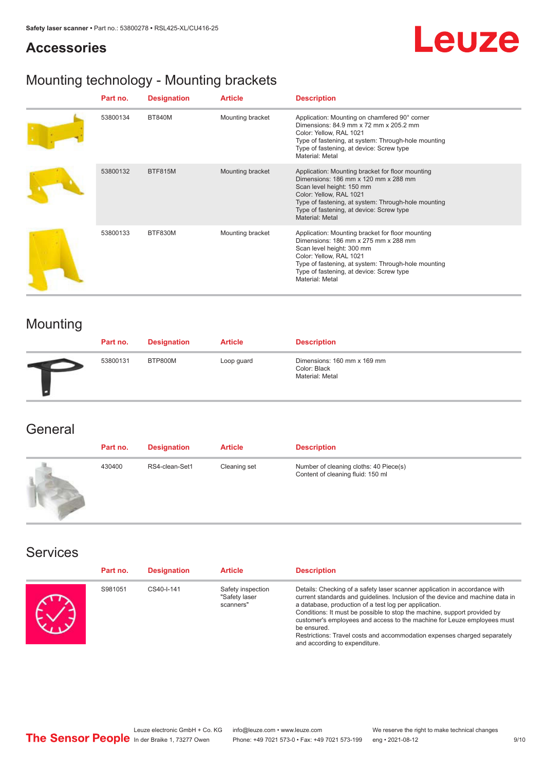### **Accessories**

## **Leuze**

## Mounting technology - Mounting brackets

| Part no. | <b>Designation</b> | <b>Article</b>   | <b>Description</b>                                                                                                                                                                                                                                                           |
|----------|--------------------|------------------|------------------------------------------------------------------------------------------------------------------------------------------------------------------------------------------------------------------------------------------------------------------------------|
| 53800134 | <b>BT840M</b>      | Mounting bracket | Application: Mounting on chamfered 90° corner<br>Dimensions: 84.9 mm x 72 mm x 205.2 mm<br>Color: Yellow, RAL 1021<br>Type of fastening, at system: Through-hole mounting<br>Type of fastening, at device: Screw type<br>Material: Metal                                     |
| 53800132 | <b>BTF815M</b>     | Mounting bracket | Application: Mounting bracket for floor mounting<br>Dimensions: $186$ mm $x$ 120 mm $x$ 288 mm<br>Scan level height: 150 mm<br>Color: Yellow, RAL 1021<br>Type of fastening, at system: Through-hole mounting<br>Type of fastening, at device: Screw type<br>Material: Metal |
| 53800133 | BTF830M            | Mounting bracket | Application: Mounting bracket for floor mounting<br>Dimensions: 186 mm x 275 mm x 288 mm<br>Scan level height: 300 mm<br>Color: Yellow, RAL 1021<br>Type of fastening, at system: Through-hole mounting<br>Type of fastening, at device: Screw type<br>Material: Metal       |

## Mounting

| Part no. | <b>Designation</b> | <b>Article</b> | <b>Description</b>                                             |
|----------|--------------------|----------------|----------------------------------------------------------------|
| 53800131 | BTP800M            | Loop guard     | Dimensions: 160 mm x 169 mm<br>Color: Black<br>Material: Metal |

### **General**

| Part no. | <b>Designation</b> | <b>Article</b> | <b>Description</b>                                                          |
|----------|--------------------|----------------|-----------------------------------------------------------------------------|
| 430400   | RS4-clean-Set1     | Cleaning set   | Number of cleaning cloths: 40 Piece(s)<br>Content of cleaning fluid: 150 ml |

### Services

| Part no. | <b>Designation</b> | <b>Article</b>                                  | <b>Description</b>                                                                                                                                                                                                                                                                                                                                                                                                                                                                                      |
|----------|--------------------|-------------------------------------------------|---------------------------------------------------------------------------------------------------------------------------------------------------------------------------------------------------------------------------------------------------------------------------------------------------------------------------------------------------------------------------------------------------------------------------------------------------------------------------------------------------------|
| S981051  | CS40-I-141         | Safety inspection<br>"Safety laser<br>scanners" | Details: Checking of a safety laser scanner application in accordance with<br>current standards and quidelines. Inclusion of the device and machine data in<br>a database, production of a test log per application.<br>Conditions: It must be possible to stop the machine, support provided by<br>customer's employees and access to the machine for Leuze employees must<br>be ensured.<br>Restrictions: Travel costs and accommodation expenses charged separately<br>and according to expenditure. |